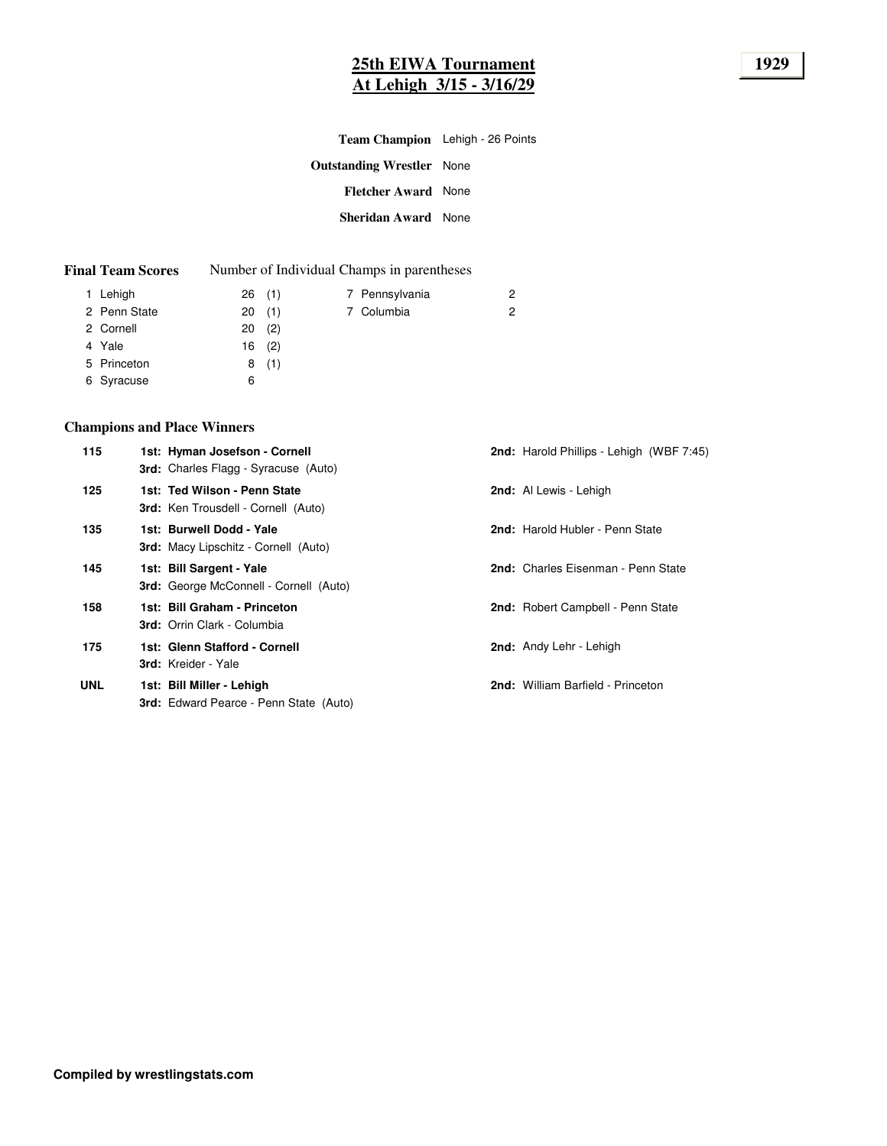# **25th EIWA Tournament 1929 At Lehigh 3/15 - 3/16/29**

| <b>Team Champion</b> Lehigh - 26 Points |  |
|-----------------------------------------|--|
| <b>Outstanding Wrestler</b> None        |  |
| <b>Fletcher Award</b> None              |  |
| <b>Sheridan Award</b> None              |  |
|                                         |  |

| <b>Final Team Scores</b> |  | Number of Individual Champs in parentheses |
|--------------------------|--|--------------------------------------------|
|--------------------------|--|--------------------------------------------|

|                                                                    |     |                                          | 2                            |
|--------------------------------------------------------------------|-----|------------------------------------------|------------------------------|
|                                                                    |     |                                          | 2                            |
|                                                                    | (2) |                                          |                              |
|                                                                    |     |                                          |                              |
|                                                                    |     |                                          |                              |
| 6                                                                  |     |                                          |                              |
| 1 Lehigh<br>2 Penn State<br>2 Cornell<br>5 Princeton<br>6 Syracuse |     | 26(1)<br>20(1)<br>20<br>$16$ (2)<br>8(1) | 7 Pennsylvania<br>7 Columbia |

# **Champions and Place Winners**

| 115        | 1st: Hyman Josefson - Cornell<br><b>3rd:</b> Charles Flagg - Syracuse (Auto) | <b>2nd:</b> Harold Phillips - Lehigh (WBF 7:45) |
|------------|------------------------------------------------------------------------------|-------------------------------------------------|
| 125        | 1st: Ted Wilson - Penn State<br><b>3rd:</b> Ken Trousdell - Cornell (Auto)   | 2nd: Al Lewis - Lehigh                          |
| 135        | 1st: Burwell Dodd - Yale<br>3rd: Macy Lipschitz - Cornell (Auto)             | 2nd: Harold Hubler - Penn State                 |
| 145        | 1st: Bill Sargent - Yale<br>3rd: George McConnell - Cornell (Auto)           | 2nd: Charles Eisenman - Penn State              |
| 158        | 1st: Bill Graham - Princeton<br><b>3rd:</b> Orrin Clark - Columbia           | 2nd: Robert Campbell - Penn State               |
| 175        | 1st: Glenn Stafford - Cornell<br><b>3rd:</b> Kreider - Yale                  | 2nd: Andy Lehr - Lehigh                         |
| <b>UNL</b> | 1st: Bill Miller - Lehigh<br><b>3rd:</b> Edward Pearce - Penn State (Auto)   | 2nd: William Barfield - Princeton               |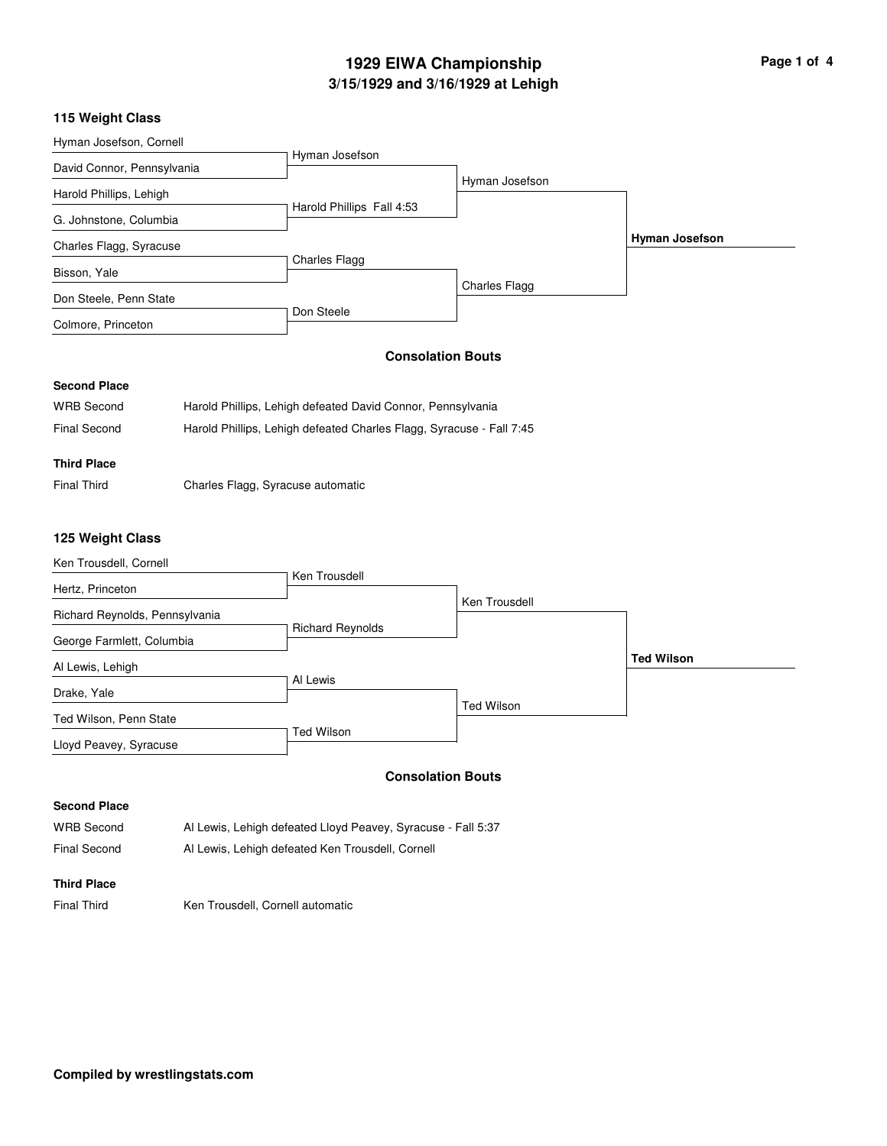# **3/15/1929 and 3/16/1929 at Lehigh 1929 EIWA Championship Page 1 of 4**

## **115 Weight Class**

| Hyman Josefson, Cornell    |                           |                |                       |
|----------------------------|---------------------------|----------------|-----------------------|
|                            | Hyman Josefson            |                |                       |
| David Connor, Pennsylvania |                           |                |                       |
| Harold Phillips, Lehigh    |                           | Hyman Josefson |                       |
| G. Johnstone, Columbia     | Harold Phillips Fall 4:53 |                |                       |
| Charles Flagg, Syracuse    |                           |                | <b>Hyman Josefson</b> |
| Bisson, Yale               | Charles Flagg             |                |                       |
| Don Steele, Penn State     |                           | Charles Flagg  |                       |
| Colmore, Princeton         |                           |                |                       |
|                            | Don Steele                |                |                       |

# **Consolation Bouts**

#### **Second Place**

| <b>WRB Second</b> | Harold Phillips, Lehigh defeated David Connor, Pennsylvania          |
|-------------------|----------------------------------------------------------------------|
| Final Second      | Harold Phillips, Lehigh defeated Charles Flagg, Syracuse - Fall 7:45 |

## **Third Place**

Final Third Charles Flagg, Syracuse automatic

#### **125 Weight Class**

| Ken Trousdell, Cornell         |                         |                   |                   |
|--------------------------------|-------------------------|-------------------|-------------------|
| Hertz, Princeton               | Ken Trousdell           |                   |                   |
| Richard Reynolds, Pennsylvania |                         | Ken Trousdell     |                   |
| George Farmlett, Columbia      | <b>Richard Reynolds</b> |                   |                   |
| Al Lewis, Lehigh               |                         |                   | <b>Ted Wilson</b> |
| Drake, Yale                    | Al Lewis                |                   |                   |
| Ted Wilson, Penn State         |                         | <b>Ted Wilson</b> |                   |
| Lloyd Peavey, Syracuse         | Ted Wilson              |                   |                   |

#### **Consolation Bouts**

# **Second Place**

| <b>WRB Second</b>   | Al Lewis, Lehigh defeated Lloyd Peavey, Syracuse - Fall 5:37 |
|---------------------|--------------------------------------------------------------|
| <b>Final Second</b> | Al Lewis, Lehigh defeated Ken Trousdell, Cornell             |

#### **Third Place**

Final Third Ken Trousdell, Cornell automatic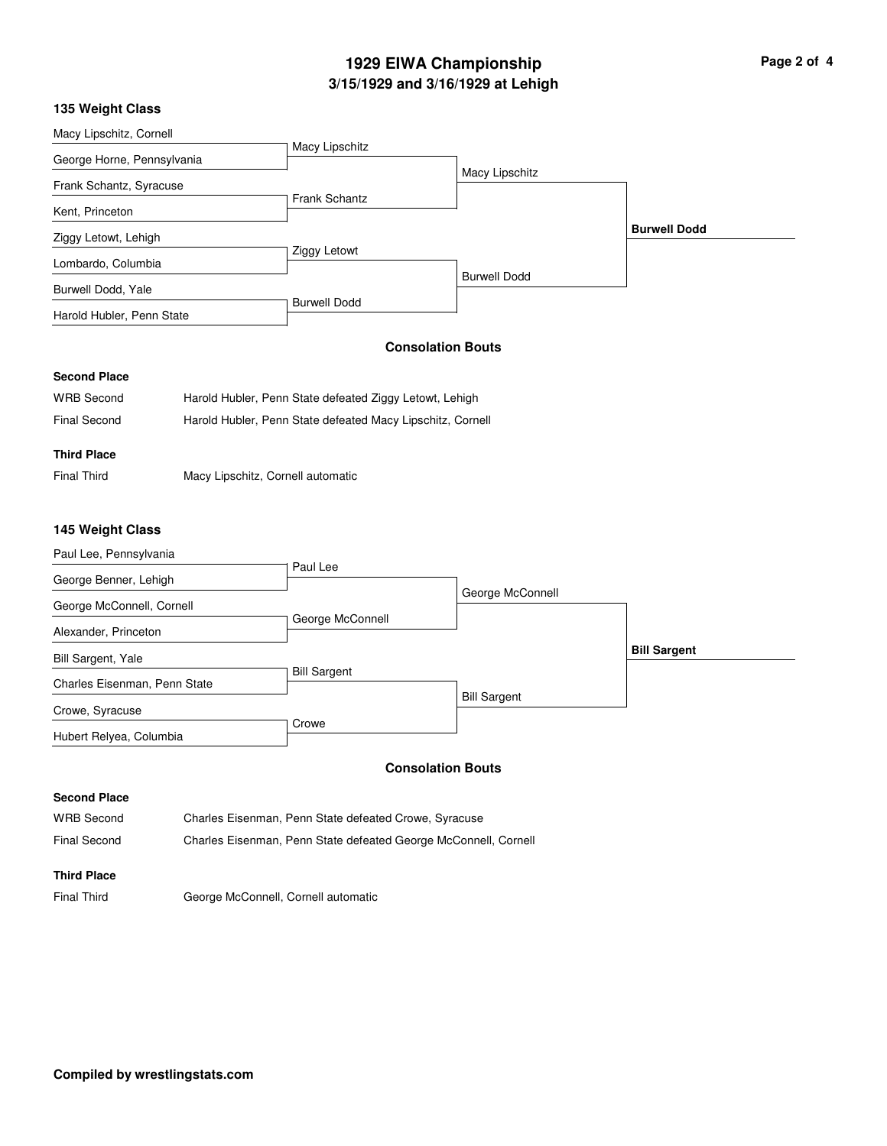# **3/15/1929 and 3/16/1929 at Lehigh 1929 EIWA Championship**

| Page 2 of 4 |  |  |
|-------------|--|--|
|             |  |  |

## **135 Weight Class**

| Macy Lipschitz, Cornell    |                      |                          |                     |
|----------------------------|----------------------|--------------------------|---------------------|
|                            | Macy Lipschitz       |                          |                     |
| George Horne, Pennsylvania |                      | Macy Lipschitz           |                     |
| Frank Schantz, Syracuse    |                      |                          |                     |
|                            | <b>Frank Schantz</b> |                          |                     |
| Kent, Princeton            |                      |                          |                     |
| Ziggy Letowt, Lehigh       |                      |                          | <b>Burwell Dodd</b> |
| Lombardo, Columbia         | Ziggy Letowt         |                          |                     |
|                            |                      | <b>Burwell Dodd</b>      |                     |
| Burwell Dodd, Yale         |                      |                          |                     |
| Harold Hubler, Penn State  | <b>Burwell Dodd</b>  |                          |                     |
|                            |                      |                          |                     |
|                            |                      | <b>Consolation Bouts</b> |                     |
| <b>Second Place</b>        |                      |                          |                     |

| <b>WRB Second</b> | Harold Hubler, Penn State defeated Ziggy Letowt, Lehigh    |
|-------------------|------------------------------------------------------------|
| Final Second      | Harold Hubler, Penn State defeated Macy Lipschitz, Cornell |

# **Third Place**

Final Third Macy Lipschitz, Cornell automatic

## **145 Weight Class**

| Paul Lee, Pennsylvania       |                     |                     |                     |
|------------------------------|---------------------|---------------------|---------------------|
| George Benner, Lehigh        | Paul Lee            |                     |                     |
|                              |                     | George McConnell    |                     |
| George McConnell, Cornell    |                     |                     |                     |
|                              | George McConnell    |                     |                     |
| Alexander, Princeton         |                     |                     |                     |
| Bill Sargent, Yale           |                     |                     | <b>Bill Sargent</b> |
|                              | <b>Bill Sargent</b> |                     |                     |
| Charles Eisenman, Penn State |                     |                     |                     |
| Crowe, Syracuse              |                     | <b>Bill Sargent</b> |                     |
| Hubert Relyea, Columbia      | Crowe               |                     |                     |

## **Consolation Bouts**

#### **Second Place**

WRB Second Charles Eisenman, Penn State defeated Crowe, Syracuse Final Second Charles Eisenman, Penn State defeated George McConnell, Cornell

# **Third Place**

Final Third George McConnell, Cornell automatic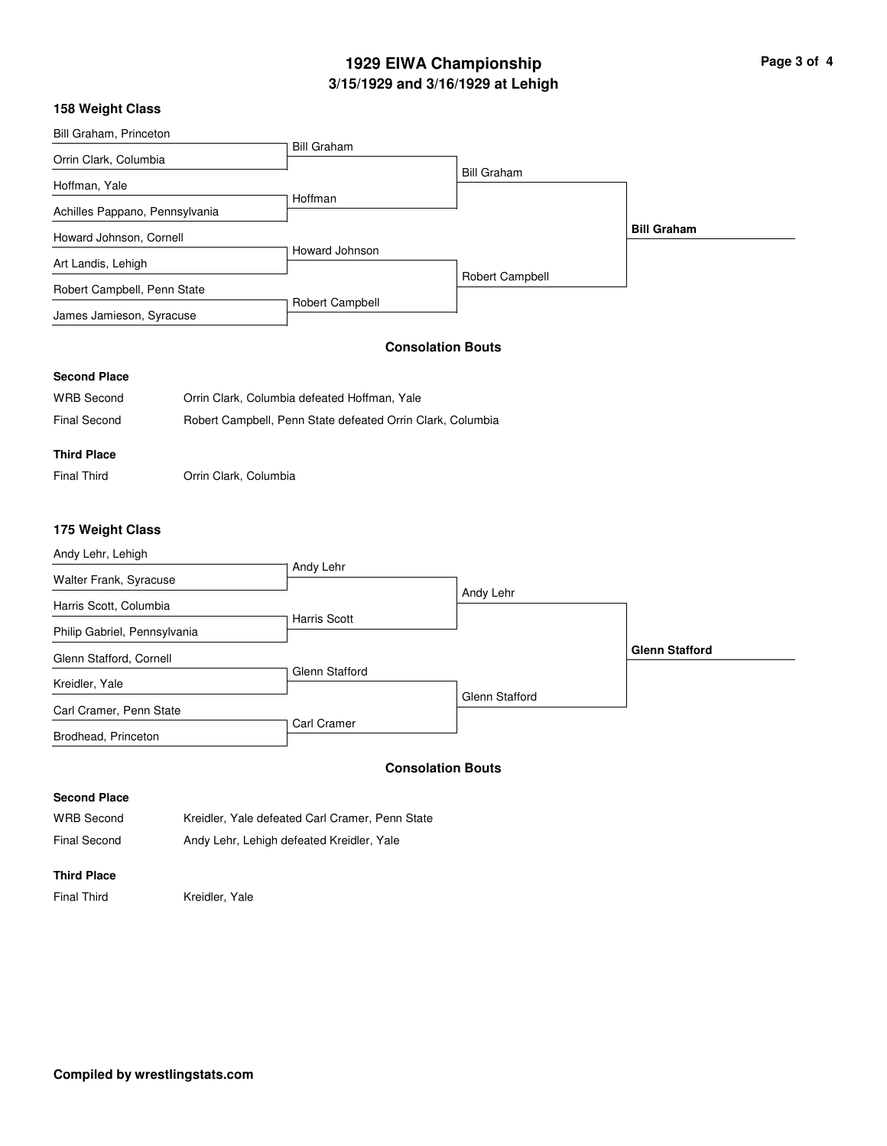# **3/15/1929 and 3/16/1929 at Lehigh 1929 EIWA Championship Page 3 of 4**

## **158 Weight Class**

| Bill Graham, Princeton         |                                              |                          |                    |
|--------------------------------|----------------------------------------------|--------------------------|--------------------|
| Orrin Clark, Columbia          | <b>Bill Graham</b>                           |                          |                    |
| Hoffman, Yale                  |                                              | <b>Bill Graham</b>       |                    |
| Achilles Pappano, Pennsylvania | Hoffman                                      |                          |                    |
| Howard Johnson, Cornell        |                                              |                          | <b>Bill Graham</b> |
| Art Landis, Lehigh             | Howard Johnson                               |                          |                    |
| Robert Campbell, Penn State    |                                              | Robert Campbell          |                    |
| James Jamieson, Syracuse       | Robert Campbell                              |                          |                    |
|                                |                                              | <b>Consolation Bouts</b> |                    |
| <b>Second Place</b>            |                                              |                          |                    |
| <b>WRB Second</b>              | Orrin Clark, Columbia defeated Hoffman, Yale |                          |                    |

| Final Second | Robert Campbell, Penn State defeated Orrin Clark, Columbia |  |  |
|--------------|------------------------------------------------------------|--|--|

#### **Third Place**

Final Third Orrin Clark, Columbia

# **175 Weight Class**

| Andy Lehr, Lehigh            |                       |                       |                       |
|------------------------------|-----------------------|-----------------------|-----------------------|
| Walter Frank, Syracuse       | Andy Lehr             |                       |                       |
| Harris Scott, Columbia       |                       | Andy Lehr             |                       |
| Philip Gabriel, Pennsylvania | <b>Harris Scott</b>   |                       |                       |
| Glenn Stafford, Cornell      |                       |                       | <b>Glenn Stafford</b> |
| Kreidler, Yale               | <b>Glenn Stafford</b> |                       |                       |
| Carl Cramer, Penn State      |                       | <b>Glenn Stafford</b> |                       |
| Brodhead, Princeton          | Carl Cramer           |                       |                       |

## **Consolation Bouts**

## **Second Place**

| <b>WRB Second</b> | Kreidler, Yale defeated Carl Cramer, Penn State |
|-------------------|-------------------------------------------------|
| Final Second      | Andy Lehr, Lehigh defeated Kreidler, Yale       |

#### **Third Place**

Final Third Kreidler, Yale